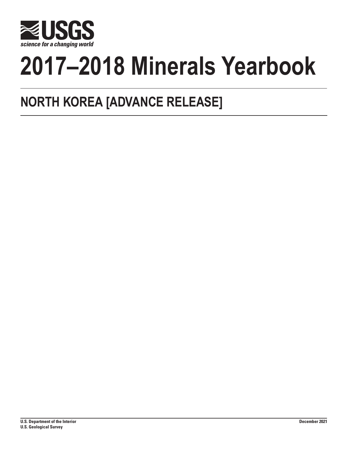

# **2017–2018 Minerals Yearbook**

## **NORTH KOREA [ADVANCE RELEASE]**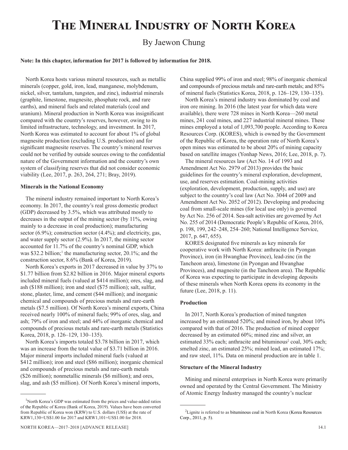## **The Mineral Industry of North Korea**

### By Jaewon Chung

#### **Note: In this chapter, information for 2017 is followed by information for 2018.**

North Korea hosts various mineral resources, such as metallic minerals (copper, gold, iron, lead, manganese, molybdenum, nickel, silver, tantalum, tungsten, and zinc), industrial minerals (graphite, limestone, magnesite, phosphate rock, and rare earths), and mineral fuels and related materials (coal and uranium). Mineral production in North Korea was insignificant compared with the country's reserves, however, owing to its limited infrastructure, technology, and investment. In 2017, North Korea was estimated to account for about 1% of global magnesite production (excluding U.S. production) and for significant magnesite reserves. The country's mineral reserves could not be verified by outside sources owing to the confidential nature of the Government information and the country's own system of classifying reserves that did not consider economic viability (Lee, 2017, p. 263, 264, 271; Bray, 2019).

#### **Minerals in the National Economy**

The mineral industry remained important to North Korea's economy. In 2017, the country's real gross domestic product (GDP) decreased by 3.5%, which was attributed mostly to decreases in the output of the mining sector (by 11%, owing mainly to a decrease in coal production); manufacturing sector (6.9%); construction sector (4.4%); and electricity, gas, and water supply sector (2.9%). In 2017, the mining sector accounted for 11.7% of the country's nominal GDP, which was \$32.2 billion;<sup>1</sup> the manufacturing sector, 20.1%; and the construction sector, 8.6% (Bank of Korea, 2019).

North Korea's exports in 2017 decreased in value by 37% to \$1.77 billion from \$2.82 billion in 2016. Major mineral exports included mineral fuels (valued at \$414 million); ores, slag, and ash (\$188 million); iron and steel (\$75 million); salt, sulfur, stone, plaster, lime, and cement (\$44 million); and inorganic chemical and compounds of precious metals and rare-earth metals (\$7.5 million). Of North Korea's mineral exports, China received nearly 100% of mineral fuels; 99% of ores, slag, and ash; 79% of iron and steel; and 44% of inorganic chemical and compounds of precious metals and rare-earth metals (Statistics Korea, 2018, p. 126–129, 130–135).

North Korea's imports totaled \$3.78 billion in 2017, which was an increase from the total value of \$3.71 billion in 2016. Major mineral imports included mineral fuels (valued at \$412 million); iron and steel (\$86 million); inorganic chemical and compounds of precious metals and rare-earth metals (\$26 million); nonmetallic minerals (\$6 million); and ores, slag, and ash (\$5 million). Of North Korea's mineral imports,

China supplied 99% of iron and steel; 98% of inorganic chemical and compounds of precious metals and rare-earth metals; and 85% of mineral fuels (Statistics Korea, 2018, p. 126–129, 130–135).

North Korea's mineral industry was dominated by coal and iron ore mining. In 2016 (the latest year for which data were available), there were 728 mines in North Korea—260 metal mines, 241 coal mines, and 227 industrial mineral mines. These mines employed a total of 1,093,700 people. According to Korea Resources Corp. (KORES), which is owned by the Government of the Republic of Korea, the operation rate of North Korea's open mines was estimated to be about 20% of mining capacity based on satellite images (Yonhap News, 2016; Lee, 2018, p. 7).

The mineral resources law (Act No. 14 of 1993 and Amendment Act No. 2979 of 2013) provides the basic guidelines for the country's mineral exploration, development, use, and reserves estimation. Coal-mining activities (exploration, development, production, supply, and use) are subject to the country's coal law (Act No. 3044 of 2009 and Amendment Act No. 2052 of 2012). Developing and producing coal from small-scale mines (for local use only) is governed by Act No. 256 of 2014. Sea-salt activities are governed by Act No. 255 of 2014 (Democratic People's Republic of Korea, 2016, p. 198, 199, 242–248, 254–260; National Intelligence Service, 2017, p. 647, 655).

KORES designated five minerals as key minerals for cooperative work with North Korea: anthracite (in Pyongan Province), iron (in Hwanghae Province), lead-zinc (in the Tancheon area), limestone (in Pyongan and Hwanghae Provinces), and magnesite (in the Tancheon area). The Republic of Korea was expecting to participate in developing deposits of these minerals when North Korea opens its economy in the future (Lee, 2018, p. 11).

#### **Production**

In 2017, North Korea's production of mined tungsten increased by an estimated 520%; and mined iron, by about 10% compared with that of 2016. The production of mined copper decreased by an estimated 60%; mined zinc and silver, an estimated 33% each; anthracite and bituminous<sup>2</sup> coal, 30% each; smelted zinc, an estimated 25%; mined lead, an estimated 17%; and raw steel, 11%. Data on mineral production are in table 1.

#### **Structure of the Mineral Industry**

Mining and mineral enterprises in North Korea were primarily owned and operated by the Central Government. The Ministry of Atomic Energy Industry managed the country's nuclear

<sup>&</sup>lt;sup>1</sup>North Korea's GDP was estimated from the prices and value-added ratios of the Republic of Korea (Bank of Korea, 2019). Values have been converted from Republic of Korea won (KRW) to U.S. dollars (US\$) at the rate of KRW1,130=US\$1.00 for 2017 and KRW1,101=US\$1.00 for 2018.

<sup>&</sup>lt;sup>2</sup>Lignite is referred to as bituminous coal in North Korea (Korea Resources Corp., 2011, p. 5).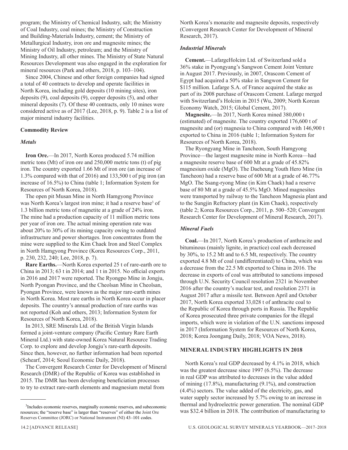program; the Ministry of Chemical Industry, salt; the Ministry of Coal Industry, coal mines; the Ministry of Construction and Building-Materials Industry, cement; the Ministry of Metallurgical Industry, iron ore and magnesite mines; the Ministry of Oil Industry, petroleum; and the Ministry of Mining Industry, all other mines. The Ministry of State Natural Resources Development was also engaged in the exploration for mineral resources (Park and others, 2018, p. 103–104).

Since 2004, Chinese and other foreign companies had signed a total of 40 contracts to develop and operate facilities in North Korea, including gold deposits (10 mining sites), iron deposits (9), coal deposits (9), copper deposits (5), and other mineral deposits (7). Of these 40 contracts, only 10 mines were considered active as of 2017 (Lee, 2018, p. 9). Table 2 is a list of major mineral industry facilities.

#### **Commodity Review**

#### *Metals*

**Iron Ore.**—In 2017, North Korea produced 5.74 million metric tons (Mt) of iron ore and 250,000 metric tons (t) of pig iron. The country exported 1.66 Mt of iron ore (an increase of 1.3% compared with that of 2016) and 133,500 t of pig iron (an increase of 16.5%) to China (table 1; Information System for Resources of North Korea, 2018).

The open pit Musan Mine in North Hamgyong Province was North Korea's largest iron mine; it had a reserve base<sup>3</sup> of 1.3 billion metric tons of magnetite at a grade of 24% iron. The mine had a production capacity of 11 million metric tons per year of iron ore. The actual mining operation rate was about 20% to 30% of its mining capacity owing to outdated infrastructure and power shortages. Iron concentrates from the mine were supplied to the Kim Chaek Iron and Steel Complex in North Hamgyong Province (Korea Resources Corp., 2011, p. 230, 232, 240; Lee, 2018, p. 7).

**Rare Earths.**—North Korea exported 25 t of rare-earth ore to China in 2013; 63 t in 2014; and 1 t in 2015. No official exports in 2016 and 2017 were reported. The Ryongpo Mine in Jongju, North Pyongan Province, and the Cheolsan Mine in Cheolsan, Pyongan Province, were known as the major rare-earth mines in North Korea. Most rare earths in North Korea occur in placer deposits. The country's annual production of rare earths was not reported (Koh and others, 2013; Information System for Resources of North Korea, 2018).

In 2013, SRE Minerals Ltd. of the British Virgin Islands formed a joint-venture company (Pacific Century Rare Earth Mineral Ltd.) with state-owned Korea Natural Resource Trading Corp. to explore and develop Jongju's rare-earth deposits. Since then, however, no further information had been reported (Schearf, 2014; Seoul Economic Daily, 2018).

The Convergent Research Center for Development of Mineral Research (DMR) of the Republic of Korea was established in 2015. The DMR has been developing beneficiation processes to try to extract rare-earth elements and magnesium metal from

North Korea's monazite and magnesite deposits, respectively (Convergent Research Center for Development of Mineral Research, 2017).

#### *Industrial Minerals*

**Cement.**—LafargeHolcim Ltd. of Switzerland sold a 36% stake in Pyongyang's Sangwon Cement Joint Venture in August 2017. Previously, in 2007, Orascom Cement of Egypt had acquired a 50% stake in Sangwon Cement for \$115 million. Lafarge S.A. of France acquired the stake as part of its 2008 purchase of Orascom Cement. Lafarge merged with Switzerland's Holcim in 2015 (Wu, 2009; North Korean Economy Watch, 2015; Global Cement, 2017).

**Magnesite.**—In 2017, North Korea mined 380,000 t (estimated) of magnesite. The country exported 176,600 t of magnesite and (or) magnesia to China compared with 146,900 t exported to China in 2016 (table 1; Information System for Resources of North Korea, 2018).

The Ryongyang Mine in Tancheon, South Hamgyong Province—the largest magnesite mine in North Korea—had a magnesite reserve base of 600 Mt at a grade of 45.82% magnesium oxide (MgO). The Daeheung Youth Hero Mine (in Tancheon) had a reserve base of 600 Mt at a grade of 46.77% MgO. The Ssang-ryong Mine (in Kim Chaek) had a reserve base of 80 Mt at a grade of 45.5% MgO. Mined magnesites were transported by railway to the Tancheon Magnesia plant and to the Sungjin Refractory plant (in Kim Chaek), respectively (table 2; Korea Resources Corp., 2011, p. 500–520; Convergent Research Center for Development of Mineral Research, 2017).

#### *Mineral Fuels*

**Coal.**—In 2017, North Korea's production of anthracite and bituminous (mainly lignite, in practice) coal each decreased by 30%, to 15.2 Mt and to 6.5 Mt, respectively. The country exported 4.8 Mt of coal (undifferentiated) to China, which was a decrease from the 22.5 Mt exported to China in 2016. The decrease in exports of coal was attributed to sanctions imposed through U.N. Security Council resolution 2321 in November 2016 after the country's nuclear test, and resolution 2371 in August 2017 after a missile test. Between April and October 2017, North Korea exported 33,028 t of anthracite coal to the Republic of Korea through ports in Russia. The Republic of Korea prosecuted three private companies for the illegal imports, which were in violation of the U.N. sanctions imposed in 2017 (Information System for Resources of North Korea, 2018; Korea Joongang Daily, 2018; VOA News, 2018).

#### **MINERAL INDUSTRY HIGHLIGHTS IN 2018**

North Korea's real GDP decreased by 4.1% in 2018, which was the greatest decrease since 1997 (6.5%). The decrease in real GDP was attributed to decreases in the value added of mining (17.8%), manufacturing (9.1%), and construction (4.4%) sectors. The value added of the electricity, gas, and water supply sector increased by 5.7% owing to an increase in thermal and hydroelectric power generation. The nominal GDP was \$32.4 billion in 2018. The contribution of manufacturing to

<sup>&</sup>lt;sup>3</sup>Includes economic reserves, marginally economic reserves, and subeconomic resources; the "reserve base" is larger than "reserves" of either the Joint Ore Reserves Committee (JORC) or National Instrument (NI) 43–101 codes.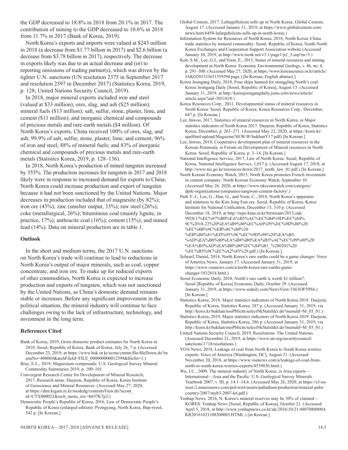the GDP decreased to 18.8% in 2018 from 20.1% in 2017. The contribution of mining to the GDP decreased to 10.6% in 2018 from 11.7% in 2017 (Bank of Korea, 2019).

North Korea's exports and imports were valued at \$243 million in 2018 (a decrease from \$1.77 billion in 2017) and \$2.6 billion (a decrease from \$3.78 billion in 2017), respectively. The decrease in exports likely was due to an actual decrease and (or) to reporting omissions of trading partner(s), which was driven by the tighter U.N. sanctions (UN resolution 2375 in September 2017 and resolution 2397 in December 2017) (Statistics Korea, 2019, p. 128; United Nations Security Council, 2019).

In 2018, major mineral exports included iron and steel (valued at \$33 million); ores, slag, and ash (\$25 million); mineral fuels (\$13 million); salt, sulfur, stone, plaster, lime, and cement (\$11 million); and inorganic chemical and compounds of precious metals and rare-earth metals (\$4 million). Of North Korea's exports, China received 100% of ores, slag, and ash; 99.9% of salt, sulfur, stone, plaster, lime, and cement; 96% of iron and steel; 88% of mineral fuels; and 83% of inorganic chemical and compounds of precious metals and rare-earth metals (Statistics Korea, 2019, p. 128–136).

In 2018, North Korea's production of mined tungsten increased by 355%. The production increases for tungsten in 2017 and 2018 likely were in response to increased demand for exports to China; North Korea could increase production and export of tungsten because it had not been sanctioned by the United Nations. Major decreases in production included that of magnesite (by 82%); iron ore  $(43\%)$ ; zinc (smelter output, 33%); raw steel  $(26\%)$ ; coke (metallurgical, 26%); bituminous coal (mainly lignite, in practice, 17%); anthracite coal (16%); cement (15%); and mined lead (14%). Data on mineral production are in table 1.

#### **Outlook**

In the short and medium terms, the 2017 U.N. sanctions on North Korea's trade will continue to lead to reductions in North Korea's output of major minerals, such as coal, copper concentrate, and iron ore. To make up for reduced exports of other commodities, North Korea is expected to increase production and exports of tungsten, which was not sanctioned by the United Nations, as China's domestic demand remains stable or increases. Before any significant improvement in the political situation, the mineral industry will continue to face challenges owing to the lack of infrastructure, technology, and investment in the long term.

#### **References Cited**

- Bank of Korea, 2019, Gross domestic product estimates for North Korea in 2018: Seoul, Republic of Korea, Bank of Korea, July 26, 7 p. (Accessed December 23, 2019, at https://www.bok.or.kr/ucms/cmmn/file/fileDown.do?m enuNo=400069&atchFileId=FILE\_000000000012398&fileSn=1.)
- Bray, E.L., 2019, Magnesium compounds: U.S. Geological Survey Mineral Commodity Summaries 2019, p. 100–101.
- Convergent Research Center for Development of Mineral Research, 2017, Research areas: Daejeon, Republic of Korea, Korea Institute
	- of Geoscience and Mineral Resources. (Accessed May 27, 2020,
	- at https://dmr.kigam.re.kr/modedg/contentsView.do?ucont\_
- id=CTX000022&srch\_menu\_nix=8rO7K7p2.)
- Democratic People's Republic of Korea, 2016, Law of Democratic People's Republic of Korea (enlarged edition): Pyongyang, North Korea, Bup-ryool, 542 p. [In Korean.]

Global Cement, 2017, LafargeHolcim sells up in North Korea: Global Cement, August 17. (Accessed January 31, 2019, at https://www.globalcement.com/ news/item/6450-lafargeholcim-sells-up-in-north-korea.)

Information System for Resources of North Korea, 2018, North Korea–China trade statistics by mineral commodity: Seoul, Republic of Korea, South-North Korea Exchanges and Cooperation Support Association website (Accessed January 30, 2019, at http://www.irenk.net/v3.1/page1/p2\_3.asp?m=3.)

Koh, S.M., Lee, G.J., and Yoon, E., 2013, Status of mineral resources and mining development in North Korea: Economic Environmental Geology, v. 46, no. 4, p. 291–300. (Accessed May 27, 2020, at https://www.koreascience.or.kr/article/ JAKO201333651559294.page.) [In Korean, English abstract.]

- Korea Joongang Daily, 2018, Four ships banned for smuggling North's coal: Korea Joongang Daily [Seoul, Republic of Korea], August 13. (Accessed January 31, 2019, at http://koreajoongangdaily.joins.com/news/article/ article.aspx?aid=3051818.)
- Korea Resources Corp., 2011, Developmental status of mineral resources in North Korea: Seoul, Republic of Korea, Korea Resources Corp., December, 647 p. [In Korean.]
- Lee, Inwoo, 2017, Statistics of mineral resources in North Korea, *in* Major statistics indicators of North Korea 2017: Daejeon, Republic of Korea, Statistics Korea, December, p. 263–271. (Assessed May 22, 2020, at https://kosis.kr/ upsHtml/upload/Magazine/NEW/IF/bukhanY17.pdf) [In Korean.]
- Lee, Inwoo, 2018, Cooperative development plan of mineral resources in the Korean Peninsula, *in* Forum on Development of Mineral resources in North Korea: Seoul, Republic of Korea, p. 3–14. [In Korean.]

National Intelligence Service, 2017, Law of North Korea: Seoul, Republic of Korea, National Intelligence Service, 1,017 p. (Accessed August 17, 2018, at http://www.nis.go.kr/resources/down/2017\_north\_law\_01.pdf.) [In Korean.]

North Korean Economy Watch, 2015, North Korea promotes French investment in cement company: North Korean Economy Watch, September 10. (Accessed May 26, 2020, at https://www.nkeconwatch.com/category/ dprk-organizations/companies/sangwon-cement-factory/.)

Park Y.-J., Lee, G., Han, G., and Yoon, C., 2018, North Korea's apparatus and stateness in the Kim Jong Eun era: Seoul, Republic of Korea, Korea Institute for National Unification, December 15, 310 p. (Accessed December 18, 2019, at http://repo.kinu.or.kr/bitstream/2015.oak/ 9928/1/%EC%97%B0%EA%B5%AC%EC%B4%9D%EC%84% 9C%2018-22%20%EA%B9%80%EC%A0%95%EC%9D%80%20 %EC%8B%9C%EB%8C%80%20 %EB%B6%81%ED%95%9C%EC%9D%98%20%EA%B5-

%AD%EA%B0%80%EA%B8%B0%EA%B5%AC%EC%99%80%20 %EA%B5%AD%EA%B0%80%EC%84%B1\_%280201%20 %EC%B5%9C%EC%A2%85%29.pdf.) [In Korean.]

- Schearf, Daniel, 2014, North Korea's rare earths could be a game changer: Voice of America News, January 17. (Accessed January 31, 2019, at https://www.voanews.com/a/north-korea-rare-earths-gamechanger/1832018.html.)
- Seoul Economic Daily, 2018, North's rare earth is worth \$1 trillion?: Seoul [Republic of Korea] Economic Daily, October 29. (Accessed January 31, 2019, at https://www.sedaily.com/NewsView/1S63OF59S4.) [In Korean.]
- Statistics Korea, 2018, Major statistics indicators of North Korea 2018: Daejeon, Republic of Korea, Statistics Korea, 287 p. (Accessed January 31, 2019, via http://kosis.kr/bukhan/nsoPblictn/selectNkStatsIdct.do?menuId=M\_03\_01.)
- Statistics Korea, 2019, Major statistics indicators of North Korea 2019: Daejeon, Republic of Korea, Statistics Korea, 286 p. (Accessed January 31, 2019, via http://kosis.kr/bukhan/nsoPblictn/selectNkStatsIdct.do?menuId=M\_03\_01.)
- United Nations Security Council, 2019, Resolutions: The United Nations. (Assessed December 21, 2019, at https://www.un.org/securitycouncil/ sanctions/1718/resolutions.)
- VOA News, 2018, Leakage of coal from North Korea to South Korea worries experts: Voice of America [Washington, DC], August 21. (Accessed November 20, 2018, at https://www.voanews.com/a/leakage-of-coal-fromnorth-to-south-korea-worries-experts/4539036.html.)
- Wu, J.C., 2009, The mineral industry of North Korea, *in* Area reports— International—Asia and the Pacific: U.S. Geological Survey Minerals Yearbook 2007, v. III, p. 14.1–14.6. (Accessed May 26, 2020, at https://s3-uswest-2.amazonaws.com/prd-wret/assets/palladium/production/mineral-pubs/ country/2007/myb3-2007-kn.pdf.)
- Yonhap News, 2016, N. Korea's mineral reserves may be 30% of claimed— KORES: Yonhap News [Seoul, Republic of Korea], October 21. (Accessed April 5, 2018, at http://www.yonhapnews.co.kr/nk/2016/10/21/4807080000A KR20161021108200003.HTML.) [in Korean.]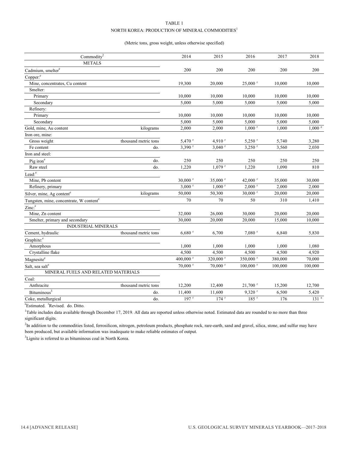#### TABLE 1 NORTH KOREA: PRODUCTION OF MINERAL COMMODITIES<sup>1</sup>

#### (Metric tons, gross weight, unless otherwise specified)

| Commodity <sup>2</sup>                              |                      | 2014                  | 2015                  | 2016                   | 2017    | 2018             |
|-----------------------------------------------------|----------------------|-----------------------|-----------------------|------------------------|---------|------------------|
| <b>METALS</b>                                       |                      |                       |                       |                        |         |                  |
| Cadmium, smelter <sup>e</sup>                       |                      | 200                   | 200                   | 200                    | 200     | 200              |
| Copper: <sup>e</sup>                                |                      |                       |                       |                        |         |                  |
| Mine, concentrates, Cu content                      |                      | 19,300                | 20,000                | $25,000$ <sup>r</sup>  | 10,000  | 10,000           |
| Smelter:                                            |                      |                       |                       |                        |         |                  |
| Primary                                             |                      | 10.000                | 10.000                | 10.000                 | 10.000  | 10.000           |
| Secondary                                           |                      | 5,000                 | 5,000                 | 5,000                  | 5,000   | 5,000            |
| Refinery:                                           |                      |                       |                       |                        |         |                  |
| Primary                                             |                      | 10,000                | 10.000                | 10.000                 | 10.000  | 10.000           |
| Secondary                                           |                      | 5,000                 | 5,000                 | 5,000                  | 5,000   | 5,000            |
| Gold, mine, Au content                              | kilograms            | 2,000                 | 2,000                 | $1.000$ <sup>r</sup>   | 1,000   | $1,000$ $e$      |
| Iron ore, mine:                                     |                      |                       |                       |                        |         |                  |
| Gross weight                                        | thousand metric tons | 5,470 r               | 4.910 <sup>r</sup>    | $5,250$ <sup>r</sup>   | 5,740   | 3,280            |
| Fe content                                          | do.                  | $3,390$ <sup>r</sup>  | $3,040$ <sup>r</sup>  | $3,250$ <sup>r</sup>   | 3,560   | 2,030            |
| Iron and steel:                                     |                      |                       |                       |                        |         |                  |
| Pig iron <sup>e</sup>                               | do.                  | 250                   | 250                   | 250                    | 250     | 250              |
| Raw steel                                           | do.                  | 1,220                 | $1,079$ <sup>r</sup>  | 1,220                  | 1,090   | 810              |
| Lead: <sup>e</sup>                                  |                      |                       |                       |                        |         |                  |
| Mine, Pb content                                    |                      | $30,000$ <sup>r</sup> | $35,000$ <sup>r</sup> | 42,000 $r$             | 35,000  | 30,000           |
| Refinery, primary                                   |                      | $3,000$ <sup>r</sup>  | $1,000$ <sup>r</sup>  | $2,000$ <sup>r</sup>   | 2,000   | 2,000            |
| Silver, mine, Ag content <sup>e</sup>               | kilograms            | 50,000                | 50,300                | $30,000$ <sup>r</sup>  | 20,000  | 20,000           |
| Tungsten, mine, concentrate, W content <sup>e</sup> |                      | 70                    | 70                    | 50                     | 310     | 1,410            |
| Zinc: <sup>e</sup>                                  |                      |                       |                       |                        |         |                  |
| Mine, Zn content                                    |                      | 32,000                | 26,000                | 30,000                 | 20,000  | 20,000           |
| Smelter, primary and secondary                      |                      | 30,000                | 20,000                | 20,000                 | 15,000  | 10,000           |
| <b>INDUSTRIAL MINERALS</b>                          |                      |                       |                       |                        |         |                  |
| Cement, hydraulic                                   | thousand metric tons | $6,680$ <sup>r</sup>  | 6,700                 | $7,080$ <sup>r</sup>   | 6,840   | 5,830            |
| Graphite: <sup>e</sup>                              |                      |                       |                       |                        |         |                  |
| Amorphous                                           |                      | 1,000                 | 1,000                 | 1,000                  | 1,000   | 1,080            |
| Crystalline flake                                   |                      | 4,500                 | 4,500                 | 4,500                  | 4,500   | 4,920            |
| Magnesite <sup>e</sup>                              |                      | 400,000 r             | 320,000 r             | 350,000 r              | 380,000 | 70,000           |
| Salt, sea salt <sup>e</sup>                         |                      | $70,000$ <sup>r</sup> | $70,000$ <sup>r</sup> | $100,000$ <sup>r</sup> | 100,000 | 100,000          |
| MINERAL FUELS AND RELATED MATERIALS                 |                      |                       |                       |                        |         |                  |
| Coal:                                               |                      |                       |                       |                        |         |                  |
| Anthracite                                          | thousand metric tons | 12,200                | 12,400                | $21,700$ <sup>r</sup>  | 15,200  | 12,700           |
| Bituminous <sup>3</sup>                             | do.                  | 11,400                | 11,600                | $9,320$ <sup>r</sup>   | 6,500   | 5,420            |
| Coke, metallurgical                                 | do.                  | $197$ <sup>r</sup>    | $174$ <sup>r</sup>    | $185$ <sup>r</sup>     | 176     | 131 <sup>e</sup> |
|                                                     |                      |                       |                       |                        |         |                  |

 $^{e}$ Estimated. <sup>r</sup>Revised. do. Ditto.<br><sup>1</sup>Tekla includes data sysilable the

 $1$ Table includes data available through December 17, 2019. All data are reported unless otherwise noted. Estimated data are rounded to no more than three significant digits.

<sup>2</sup>In addition to the commodities listed, ferrosilicon, nitrogen, petroleum products, phosphate rock, rare-earth, sand and gravel, silica, stone, and sulfur may have been produced, but available information was inadequate to make reliable estimates of output.

<sup>3</sup>Lignite is referred to as bituminous coal in North Korea.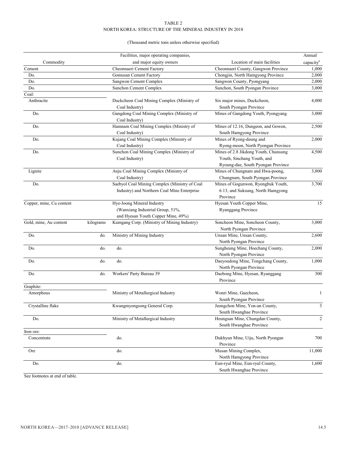#### TABLE 2 NORTH KOREA: STRUCTURE OF THE MINERAL INDUSTRY IN 2018

#### (Thousand metric tons unless otherwise specified)

|                          |           | Facilities, major operating companies,                      |                                               | Annual                |
|--------------------------|-----------|-------------------------------------------------------------|-----------------------------------------------|-----------------------|
| Commodity                |           | and major equity owners                                     | Location of main facilities                   | capacity <sup>e</sup> |
| Cement                   |           | Cheonnaeri Cement Factory                                   | Cheonnaeri County, Gangwon Province           | 1,000                 |
| Do.                      |           | <b>Gomusan Cement Factory</b>                               | Chongjin, North Hamgyong Province             | 2,000                 |
| Do.                      |           | Sangwon Cement Complex                                      | Sangwon County, Pyongyang                     | 2,000                 |
| Do.                      |           | Sunchon Cement Complex                                      | Sunchon, South Pyongan Province               | 3,000                 |
| Coal:                    |           |                                                             |                                               |                       |
| Anthracite               |           | Duckcheon Coal Mining Complex (Ministry of                  | Six major mines, Duckcheon,                   | 4,000                 |
|                          |           | Coal Industry)                                              | South Pyongan Province                        |                       |
| Do.                      |           | Gangdong Coal Mining Complex (Ministry of<br>Coal Industry) | Mines of Gangdong Youth, Pyongyang            | 3,000                 |
| Do.                      |           | Hamnam Coal Mining Complex (Ministry of                     | Mines of 12.16, Dungeon, and Gowon,           | 2,500                 |
|                          |           | Coal Industry)                                              | South Hamgyong Province                       |                       |
| Do.                      |           | Kujang Coal Mining Complex (Ministry of                     | Mines of Ryong-deung and                      | 2,000                 |
|                          |           | Coal Industry)                                              | Ryong-moon, North Pyongan Province            |                       |
| Do.                      |           | Sunchon Coal Mining Complex (Ministry of                    | Mines of 2.8 Jikdong Youth, Chunsung          | 4,500                 |
|                          |           | Coal Industry)                                              | Youth, Sinchang Youth, and                    |                       |
|                          |           |                                                             | Ryoung-dae, South Pyongan Province            |                       |
| Lignite                  |           | Anju Coal Mining Complex (Ministry of                       | Mines of Chungnam and Hwa-poong,              | 3,800                 |
|                          |           | Coal Industry)                                              | Chungnam, South Pyongan Province              |                       |
| Do.                      |           | Saebyol Coal Mining Complex (Ministry of Coal               | Mines of Gogunwon, Ryongbuk Youth,            | 3,700                 |
|                          |           | Industry) and Northern Coal Mine Enterprise                 | 6.13, and Suksung, North Hamgyong<br>Province |                       |
| Copper, mine, Cu content |           | Hye-Joong Mineral Industry                                  | Hyesan Youth Copper Mine,                     | 15                    |
|                          |           | (Wanxiang Industrial Group, 51%,                            | Ryanggang Province                            |                       |
|                          |           | and Hyesan Youth Copper Mine, 49%)                          |                                               |                       |
| Gold, mine, Au content   | kilograms | Kumgang Corp. (Ministry of Mining Industry)                 | Soncheon Mine, Soncheon County,               | 3,000                 |
|                          |           |                                                             | North Pyongan Province                        |                       |
| Do.                      | do.       | Ministry of Mining Industry                                 | Unsan Mine, Unsan County,                     | 2,600                 |
|                          |           |                                                             | North Pyongan Province                        |                       |
| Do.                      | do.       | do.                                                         | Sungheung Mine, Hoechang County,              | 2,000                 |
|                          |           |                                                             | North Pyongan Province                        |                       |
| Do.                      | do.       | do.                                                         | Daeyoudong Mine, Tongchang County,            | 1,000                 |
|                          |           |                                                             | North Pyongan Province                        |                       |
| Do.                      | do.       | Workers' Party Bureau 39                                    | Daebong Mine, Hyesan, Ryanggang               | 300                   |
|                          |           |                                                             | Province                                      |                       |
| Graphite:                |           |                                                             |                                               |                       |
| Amorphous                |           | Ministry of Metallurgical Industry                          | Wonri Mine, Gaecheon,                         | 1                     |
|                          |           |                                                             | South Pyongan Province                        |                       |
| Crystalline flake        |           | Kwangmyongsong General Corp.                                | Jeongchon Mine, Yon-an County,                | $\mathfrak{Z}$        |
|                          |           |                                                             | South Hwanghae Province                       |                       |
| Do.                      |           | Ministry of Metallurgical Industry                          | Heungsan Mine, Chungdan County,               | 2                     |
|                          |           |                                                             | South Hwanghae Province                       |                       |
| Iron ore:                |           |                                                             |                                               |                       |
| Concentrate              |           | do.                                                         | Dukhyun Mine, Uiju, North Pyongan             | 700                   |
|                          |           |                                                             | Province                                      |                       |
| Ore                      |           | do.                                                         | Musan Mining Complex,                         | 11,000                |
|                          |           |                                                             | North Hamgyong Province                       |                       |
| Do.                      |           | do.                                                         | Eun-ryul Mine, Eun-ryul County,               | 1,600                 |
|                          |           |                                                             |                                               |                       |
|                          |           |                                                             | South Hwanghae Province                       |                       |

See footnotes at end of table.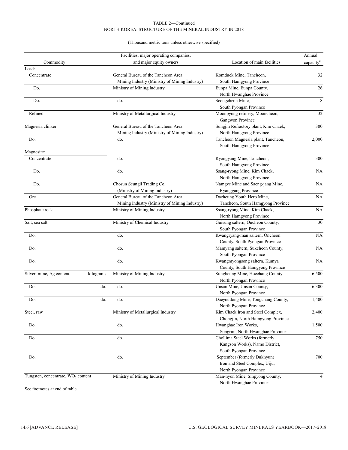#### TABLE 2—Continued NORTH KOREA: STRUCTURE OF THE MINERAL INDUSTRY IN 2018

#### (Thousand metric tons unless otherwise specified)

| and major equity owners<br>Location of main facilities<br>Commodity<br>capacity <sup>e</sup><br>Lead:<br>General Bureau of the Tancheon Area<br>32<br>Concentrate<br>Komduck Mine, Tancheon,<br>Mining Industry (Ministry of Mining Industry)<br>South Hamgyong Province<br>Eunpa Mine, Eunpa County,<br>$26\,$<br>Do.<br>Ministry of Mining Industry<br>North Hwanghae Province<br>$\,$ 8 $\,$<br>Do.<br>do.<br>Seongcheon Mine,<br>South Pyongan Province<br>Refined<br>Ministry of Metallurgical Industry<br>Moonpyong refinery, Mooncheon,<br>32<br>Gangwon Province<br>General Bureau of the Tancheon Area<br>Magnesia clinker<br>Sungjin Refractory plant, Kim Chaek,<br>300<br>Mining Industry (Ministry of Mining Industry)<br>North Hamgyong Province<br>Tancheon Magnesia plant, Tancheon,<br>Do.<br>do.<br>South Hamgyong Province<br>Magnesite:<br>300<br>Concentrate<br>do.<br>Ryongyang Mine, Tancheon,<br>South Hamgyong Province<br>Ssang-ryong Mine, Kim Chaek,<br>Do.<br>do.<br><b>NA</b><br>North Hamgyong Province<br>Chosun Seungli Trading Co.<br>Namgye Mine and Saeng-jang Mine,<br>NA<br>Do.<br>Ryanggang Province<br>(Ministry of Mining Industry)<br>General Bureau of the Tancheon Area<br>Daeheung Youth Hero Mine,<br>NA<br>Ore<br>Mining Industry (Ministry of Mining Industry)<br>Tancheon, South Hamgyong Province<br>Ministry of Mining Industry<br>Ssang-ryong Mine, Kim Chaek,<br>Phosphate rock<br>NA<br>North Hamgyong Province<br>Ministry of Chemical Industry<br>Guisung saltern, Oncheon County,<br>Salt, sea salt<br>South Pyongan Province<br>Do.<br>do.<br>$\rm NA$<br>Kwangryang-man saltern, Oncheon<br>County, South Pyongan Province<br>Do.<br>do.<br>Mamyang saltern, Sukcheon County,<br>South Pyongan Province<br>do.<br>Do.<br>Kwangmyongsong saltern, Kumya<br>NA<br>County, South Hamgyong Province<br>Ministry of Mining Industry<br>Silver, mine, Ag content<br>Sungheung Mine, Hoechang County<br>kilograms<br>North Pyongan Province<br>do.<br>Unsan Mine, Unsan County,<br>Do.<br>do.<br>6,300<br>North Pyongan Province<br>do.<br>1,400<br>Do.<br>do.<br>Daeyoudong Mine, Tongchang County,<br>North Pyongan Province<br>Steel, raw<br>Ministry of Metallurgical Industry<br>Kim Chaek Iron and Steel Complex,<br>Chongjin, North Hamgyong Province<br>Hwanghae Iron Works,<br>Do.<br>do.<br>Songrim, North Hwanghae Province<br>Chollima Steel Works (formerly<br>do.<br>Do.<br>Kangson Works), Namo District,<br>South Pyongan Province<br>Do.<br>September (formerly Dukhyun)<br>do.<br>Iron and Steel Complex, Uiju,<br>North Pyongan Province<br>Tungsten, concentrate, WO <sub>3</sub> content<br>Ministry of Mining Industry<br>Man-nyon Mine, Sinpyong County,<br>North Hwanghae Province |  | Facilities, major operating companies, | Annual |
|----------------------------------------------------------------------------------------------------------------------------------------------------------------------------------------------------------------------------------------------------------------------------------------------------------------------------------------------------------------------------------------------------------------------------------------------------------------------------------------------------------------------------------------------------------------------------------------------------------------------------------------------------------------------------------------------------------------------------------------------------------------------------------------------------------------------------------------------------------------------------------------------------------------------------------------------------------------------------------------------------------------------------------------------------------------------------------------------------------------------------------------------------------------------------------------------------------------------------------------------------------------------------------------------------------------------------------------------------------------------------------------------------------------------------------------------------------------------------------------------------------------------------------------------------------------------------------------------------------------------------------------------------------------------------------------------------------------------------------------------------------------------------------------------------------------------------------------------------------------------------------------------------------------------------------------------------------------------------------------------------------------------------------------------------------------------------------------------------------------------------------------------------------------------------------------------------------------------------------------------------------------------------------------------------------------------------------------------------------------------------------------------------------------------------------------------------------------------------------------------------------------------------------------------------------------------------------------------------------------------------------------------------------------------------------------------------------------------------------------------------------------|--|----------------------------------------|--------|
| 2,000                                                                                                                                                                                                                                                                                                                                                                                                                                                                                                                                                                                                                                                                                                                                                                                                                                                                                                                                                                                                                                                                                                                                                                                                                                                                                                                                                                                                                                                                                                                                                                                                                                                                                                                                                                                                                                                                                                                                                                                                                                                                                                                                                                                                                                                                                                                                                                                                                                                                                                                                                                                                                                                                                                                                                          |  |                                        |        |
|                                                                                                                                                                                                                                                                                                                                                                                                                                                                                                                                                                                                                                                                                                                                                                                                                                                                                                                                                                                                                                                                                                                                                                                                                                                                                                                                                                                                                                                                                                                                                                                                                                                                                                                                                                                                                                                                                                                                                                                                                                                                                                                                                                                                                                                                                                                                                                                                                                                                                                                                                                                                                                                                                                                                                                |  |                                        |        |
|                                                                                                                                                                                                                                                                                                                                                                                                                                                                                                                                                                                                                                                                                                                                                                                                                                                                                                                                                                                                                                                                                                                                                                                                                                                                                                                                                                                                                                                                                                                                                                                                                                                                                                                                                                                                                                                                                                                                                                                                                                                                                                                                                                                                                                                                                                                                                                                                                                                                                                                                                                                                                                                                                                                                                                |  |                                        |        |
|                                                                                                                                                                                                                                                                                                                                                                                                                                                                                                                                                                                                                                                                                                                                                                                                                                                                                                                                                                                                                                                                                                                                                                                                                                                                                                                                                                                                                                                                                                                                                                                                                                                                                                                                                                                                                                                                                                                                                                                                                                                                                                                                                                                                                                                                                                                                                                                                                                                                                                                                                                                                                                                                                                                                                                |  |                                        |        |
|                                                                                                                                                                                                                                                                                                                                                                                                                                                                                                                                                                                                                                                                                                                                                                                                                                                                                                                                                                                                                                                                                                                                                                                                                                                                                                                                                                                                                                                                                                                                                                                                                                                                                                                                                                                                                                                                                                                                                                                                                                                                                                                                                                                                                                                                                                                                                                                                                                                                                                                                                                                                                                                                                                                                                                |  |                                        |        |
|                                                                                                                                                                                                                                                                                                                                                                                                                                                                                                                                                                                                                                                                                                                                                                                                                                                                                                                                                                                                                                                                                                                                                                                                                                                                                                                                                                                                                                                                                                                                                                                                                                                                                                                                                                                                                                                                                                                                                                                                                                                                                                                                                                                                                                                                                                                                                                                                                                                                                                                                                                                                                                                                                                                                                                |  |                                        |        |
|                                                                                                                                                                                                                                                                                                                                                                                                                                                                                                                                                                                                                                                                                                                                                                                                                                                                                                                                                                                                                                                                                                                                                                                                                                                                                                                                                                                                                                                                                                                                                                                                                                                                                                                                                                                                                                                                                                                                                                                                                                                                                                                                                                                                                                                                                                                                                                                                                                                                                                                                                                                                                                                                                                                                                                |  |                                        |        |
|                                                                                                                                                                                                                                                                                                                                                                                                                                                                                                                                                                                                                                                                                                                                                                                                                                                                                                                                                                                                                                                                                                                                                                                                                                                                                                                                                                                                                                                                                                                                                                                                                                                                                                                                                                                                                                                                                                                                                                                                                                                                                                                                                                                                                                                                                                                                                                                                                                                                                                                                                                                                                                                                                                                                                                |  |                                        |        |
|                                                                                                                                                                                                                                                                                                                                                                                                                                                                                                                                                                                                                                                                                                                                                                                                                                                                                                                                                                                                                                                                                                                                                                                                                                                                                                                                                                                                                                                                                                                                                                                                                                                                                                                                                                                                                                                                                                                                                                                                                                                                                                                                                                                                                                                                                                                                                                                                                                                                                                                                                                                                                                                                                                                                                                |  |                                        |        |
|                                                                                                                                                                                                                                                                                                                                                                                                                                                                                                                                                                                                                                                                                                                                                                                                                                                                                                                                                                                                                                                                                                                                                                                                                                                                                                                                                                                                                                                                                                                                                                                                                                                                                                                                                                                                                                                                                                                                                                                                                                                                                                                                                                                                                                                                                                                                                                                                                                                                                                                                                                                                                                                                                                                                                                |  |                                        |        |
|                                                                                                                                                                                                                                                                                                                                                                                                                                                                                                                                                                                                                                                                                                                                                                                                                                                                                                                                                                                                                                                                                                                                                                                                                                                                                                                                                                                                                                                                                                                                                                                                                                                                                                                                                                                                                                                                                                                                                                                                                                                                                                                                                                                                                                                                                                                                                                                                                                                                                                                                                                                                                                                                                                                                                                |  |                                        |        |
|                                                                                                                                                                                                                                                                                                                                                                                                                                                                                                                                                                                                                                                                                                                                                                                                                                                                                                                                                                                                                                                                                                                                                                                                                                                                                                                                                                                                                                                                                                                                                                                                                                                                                                                                                                                                                                                                                                                                                                                                                                                                                                                                                                                                                                                                                                                                                                                                                                                                                                                                                                                                                                                                                                                                                                |  |                                        |        |
|                                                                                                                                                                                                                                                                                                                                                                                                                                                                                                                                                                                                                                                                                                                                                                                                                                                                                                                                                                                                                                                                                                                                                                                                                                                                                                                                                                                                                                                                                                                                                                                                                                                                                                                                                                                                                                                                                                                                                                                                                                                                                                                                                                                                                                                                                                                                                                                                                                                                                                                                                                                                                                                                                                                                                                |  |                                        |        |
|                                                                                                                                                                                                                                                                                                                                                                                                                                                                                                                                                                                                                                                                                                                                                                                                                                                                                                                                                                                                                                                                                                                                                                                                                                                                                                                                                                                                                                                                                                                                                                                                                                                                                                                                                                                                                                                                                                                                                                                                                                                                                                                                                                                                                                                                                                                                                                                                                                                                                                                                                                                                                                                                                                                                                                |  |                                        |        |
|                                                                                                                                                                                                                                                                                                                                                                                                                                                                                                                                                                                                                                                                                                                                                                                                                                                                                                                                                                                                                                                                                                                                                                                                                                                                                                                                                                                                                                                                                                                                                                                                                                                                                                                                                                                                                                                                                                                                                                                                                                                                                                                                                                                                                                                                                                                                                                                                                                                                                                                                                                                                                                                                                                                                                                |  |                                        |        |
|                                                                                                                                                                                                                                                                                                                                                                                                                                                                                                                                                                                                                                                                                                                                                                                                                                                                                                                                                                                                                                                                                                                                                                                                                                                                                                                                                                                                                                                                                                                                                                                                                                                                                                                                                                                                                                                                                                                                                                                                                                                                                                                                                                                                                                                                                                                                                                                                                                                                                                                                                                                                                                                                                                                                                                |  |                                        |        |
|                                                                                                                                                                                                                                                                                                                                                                                                                                                                                                                                                                                                                                                                                                                                                                                                                                                                                                                                                                                                                                                                                                                                                                                                                                                                                                                                                                                                                                                                                                                                                                                                                                                                                                                                                                                                                                                                                                                                                                                                                                                                                                                                                                                                                                                                                                                                                                                                                                                                                                                                                                                                                                                                                                                                                                |  |                                        |        |
|                                                                                                                                                                                                                                                                                                                                                                                                                                                                                                                                                                                                                                                                                                                                                                                                                                                                                                                                                                                                                                                                                                                                                                                                                                                                                                                                                                                                                                                                                                                                                                                                                                                                                                                                                                                                                                                                                                                                                                                                                                                                                                                                                                                                                                                                                                                                                                                                                                                                                                                                                                                                                                                                                                                                                                |  |                                        |        |
|                                                                                                                                                                                                                                                                                                                                                                                                                                                                                                                                                                                                                                                                                                                                                                                                                                                                                                                                                                                                                                                                                                                                                                                                                                                                                                                                                                                                                                                                                                                                                                                                                                                                                                                                                                                                                                                                                                                                                                                                                                                                                                                                                                                                                                                                                                                                                                                                                                                                                                                                                                                                                                                                                                                                                                |  |                                        |        |
|                                                                                                                                                                                                                                                                                                                                                                                                                                                                                                                                                                                                                                                                                                                                                                                                                                                                                                                                                                                                                                                                                                                                                                                                                                                                                                                                                                                                                                                                                                                                                                                                                                                                                                                                                                                                                                                                                                                                                                                                                                                                                                                                                                                                                                                                                                                                                                                                                                                                                                                                                                                                                                                                                                                                                                |  |                                        |        |
|                                                                                                                                                                                                                                                                                                                                                                                                                                                                                                                                                                                                                                                                                                                                                                                                                                                                                                                                                                                                                                                                                                                                                                                                                                                                                                                                                                                                                                                                                                                                                                                                                                                                                                                                                                                                                                                                                                                                                                                                                                                                                                                                                                                                                                                                                                                                                                                                                                                                                                                                                                                                                                                                                                                                                                |  |                                        |        |
|                                                                                                                                                                                                                                                                                                                                                                                                                                                                                                                                                                                                                                                                                                                                                                                                                                                                                                                                                                                                                                                                                                                                                                                                                                                                                                                                                                                                                                                                                                                                                                                                                                                                                                                                                                                                                                                                                                                                                                                                                                                                                                                                                                                                                                                                                                                                                                                                                                                                                                                                                                                                                                                                                                                                                                |  |                                        |        |
|                                                                                                                                                                                                                                                                                                                                                                                                                                                                                                                                                                                                                                                                                                                                                                                                                                                                                                                                                                                                                                                                                                                                                                                                                                                                                                                                                                                                                                                                                                                                                                                                                                                                                                                                                                                                                                                                                                                                                                                                                                                                                                                                                                                                                                                                                                                                                                                                                                                                                                                                                                                                                                                                                                                                                                |  |                                        |        |
|                                                                                                                                                                                                                                                                                                                                                                                                                                                                                                                                                                                                                                                                                                                                                                                                                                                                                                                                                                                                                                                                                                                                                                                                                                                                                                                                                                                                                                                                                                                                                                                                                                                                                                                                                                                                                                                                                                                                                                                                                                                                                                                                                                                                                                                                                                                                                                                                                                                                                                                                                                                                                                                                                                                                                                |  |                                        |        |
|                                                                                                                                                                                                                                                                                                                                                                                                                                                                                                                                                                                                                                                                                                                                                                                                                                                                                                                                                                                                                                                                                                                                                                                                                                                                                                                                                                                                                                                                                                                                                                                                                                                                                                                                                                                                                                                                                                                                                                                                                                                                                                                                                                                                                                                                                                                                                                                                                                                                                                                                                                                                                                                                                                                                                                |  |                                        |        |
| $\rm NA$<br>6,500<br>2,400<br>1,500<br>750<br>700<br>4                                                                                                                                                                                                                                                                                                                                                                                                                                                                                                                                                                                                                                                                                                                                                                                                                                                                                                                                                                                                                                                                                                                                                                                                                                                                                                                                                                                                                                                                                                                                                                                                                                                                                                                                                                                                                                                                                                                                                                                                                                                                                                                                                                                                                                                                                                                                                                                                                                                                                                                                                                                                                                                                                                         |  |                                        | 30     |
|                                                                                                                                                                                                                                                                                                                                                                                                                                                                                                                                                                                                                                                                                                                                                                                                                                                                                                                                                                                                                                                                                                                                                                                                                                                                                                                                                                                                                                                                                                                                                                                                                                                                                                                                                                                                                                                                                                                                                                                                                                                                                                                                                                                                                                                                                                                                                                                                                                                                                                                                                                                                                                                                                                                                                                |  |                                        |        |
|                                                                                                                                                                                                                                                                                                                                                                                                                                                                                                                                                                                                                                                                                                                                                                                                                                                                                                                                                                                                                                                                                                                                                                                                                                                                                                                                                                                                                                                                                                                                                                                                                                                                                                                                                                                                                                                                                                                                                                                                                                                                                                                                                                                                                                                                                                                                                                                                                                                                                                                                                                                                                                                                                                                                                                |  |                                        |        |
|                                                                                                                                                                                                                                                                                                                                                                                                                                                                                                                                                                                                                                                                                                                                                                                                                                                                                                                                                                                                                                                                                                                                                                                                                                                                                                                                                                                                                                                                                                                                                                                                                                                                                                                                                                                                                                                                                                                                                                                                                                                                                                                                                                                                                                                                                                                                                                                                                                                                                                                                                                                                                                                                                                                                                                |  |                                        |        |
|                                                                                                                                                                                                                                                                                                                                                                                                                                                                                                                                                                                                                                                                                                                                                                                                                                                                                                                                                                                                                                                                                                                                                                                                                                                                                                                                                                                                                                                                                                                                                                                                                                                                                                                                                                                                                                                                                                                                                                                                                                                                                                                                                                                                                                                                                                                                                                                                                                                                                                                                                                                                                                                                                                                                                                |  |                                        |        |
|                                                                                                                                                                                                                                                                                                                                                                                                                                                                                                                                                                                                                                                                                                                                                                                                                                                                                                                                                                                                                                                                                                                                                                                                                                                                                                                                                                                                                                                                                                                                                                                                                                                                                                                                                                                                                                                                                                                                                                                                                                                                                                                                                                                                                                                                                                                                                                                                                                                                                                                                                                                                                                                                                                                                                                |  |                                        |        |
|                                                                                                                                                                                                                                                                                                                                                                                                                                                                                                                                                                                                                                                                                                                                                                                                                                                                                                                                                                                                                                                                                                                                                                                                                                                                                                                                                                                                                                                                                                                                                                                                                                                                                                                                                                                                                                                                                                                                                                                                                                                                                                                                                                                                                                                                                                                                                                                                                                                                                                                                                                                                                                                                                                                                                                |  |                                        |        |
|                                                                                                                                                                                                                                                                                                                                                                                                                                                                                                                                                                                                                                                                                                                                                                                                                                                                                                                                                                                                                                                                                                                                                                                                                                                                                                                                                                                                                                                                                                                                                                                                                                                                                                                                                                                                                                                                                                                                                                                                                                                                                                                                                                                                                                                                                                                                                                                                                                                                                                                                                                                                                                                                                                                                                                |  |                                        |        |
|                                                                                                                                                                                                                                                                                                                                                                                                                                                                                                                                                                                                                                                                                                                                                                                                                                                                                                                                                                                                                                                                                                                                                                                                                                                                                                                                                                                                                                                                                                                                                                                                                                                                                                                                                                                                                                                                                                                                                                                                                                                                                                                                                                                                                                                                                                                                                                                                                                                                                                                                                                                                                                                                                                                                                                |  |                                        |        |
|                                                                                                                                                                                                                                                                                                                                                                                                                                                                                                                                                                                                                                                                                                                                                                                                                                                                                                                                                                                                                                                                                                                                                                                                                                                                                                                                                                                                                                                                                                                                                                                                                                                                                                                                                                                                                                                                                                                                                                                                                                                                                                                                                                                                                                                                                                                                                                                                                                                                                                                                                                                                                                                                                                                                                                |  |                                        |        |
|                                                                                                                                                                                                                                                                                                                                                                                                                                                                                                                                                                                                                                                                                                                                                                                                                                                                                                                                                                                                                                                                                                                                                                                                                                                                                                                                                                                                                                                                                                                                                                                                                                                                                                                                                                                                                                                                                                                                                                                                                                                                                                                                                                                                                                                                                                                                                                                                                                                                                                                                                                                                                                                                                                                                                                |  |                                        |        |
|                                                                                                                                                                                                                                                                                                                                                                                                                                                                                                                                                                                                                                                                                                                                                                                                                                                                                                                                                                                                                                                                                                                                                                                                                                                                                                                                                                                                                                                                                                                                                                                                                                                                                                                                                                                                                                                                                                                                                                                                                                                                                                                                                                                                                                                                                                                                                                                                                                                                                                                                                                                                                                                                                                                                                                |  |                                        |        |
|                                                                                                                                                                                                                                                                                                                                                                                                                                                                                                                                                                                                                                                                                                                                                                                                                                                                                                                                                                                                                                                                                                                                                                                                                                                                                                                                                                                                                                                                                                                                                                                                                                                                                                                                                                                                                                                                                                                                                                                                                                                                                                                                                                                                                                                                                                                                                                                                                                                                                                                                                                                                                                                                                                                                                                |  |                                        |        |
|                                                                                                                                                                                                                                                                                                                                                                                                                                                                                                                                                                                                                                                                                                                                                                                                                                                                                                                                                                                                                                                                                                                                                                                                                                                                                                                                                                                                                                                                                                                                                                                                                                                                                                                                                                                                                                                                                                                                                                                                                                                                                                                                                                                                                                                                                                                                                                                                                                                                                                                                                                                                                                                                                                                                                                |  |                                        |        |
|                                                                                                                                                                                                                                                                                                                                                                                                                                                                                                                                                                                                                                                                                                                                                                                                                                                                                                                                                                                                                                                                                                                                                                                                                                                                                                                                                                                                                                                                                                                                                                                                                                                                                                                                                                                                                                                                                                                                                                                                                                                                                                                                                                                                                                                                                                                                                                                                                                                                                                                                                                                                                                                                                                                                                                |  |                                        |        |
|                                                                                                                                                                                                                                                                                                                                                                                                                                                                                                                                                                                                                                                                                                                                                                                                                                                                                                                                                                                                                                                                                                                                                                                                                                                                                                                                                                                                                                                                                                                                                                                                                                                                                                                                                                                                                                                                                                                                                                                                                                                                                                                                                                                                                                                                                                                                                                                                                                                                                                                                                                                                                                                                                                                                                                |  |                                        |        |
|                                                                                                                                                                                                                                                                                                                                                                                                                                                                                                                                                                                                                                                                                                                                                                                                                                                                                                                                                                                                                                                                                                                                                                                                                                                                                                                                                                                                                                                                                                                                                                                                                                                                                                                                                                                                                                                                                                                                                                                                                                                                                                                                                                                                                                                                                                                                                                                                                                                                                                                                                                                                                                                                                                                                                                |  |                                        |        |
|                                                                                                                                                                                                                                                                                                                                                                                                                                                                                                                                                                                                                                                                                                                                                                                                                                                                                                                                                                                                                                                                                                                                                                                                                                                                                                                                                                                                                                                                                                                                                                                                                                                                                                                                                                                                                                                                                                                                                                                                                                                                                                                                                                                                                                                                                                                                                                                                                                                                                                                                                                                                                                                                                                                                                                |  |                                        |        |
|                                                                                                                                                                                                                                                                                                                                                                                                                                                                                                                                                                                                                                                                                                                                                                                                                                                                                                                                                                                                                                                                                                                                                                                                                                                                                                                                                                                                                                                                                                                                                                                                                                                                                                                                                                                                                                                                                                                                                                                                                                                                                                                                                                                                                                                                                                                                                                                                                                                                                                                                                                                                                                                                                                                                                                |  |                                        |        |
|                                                                                                                                                                                                                                                                                                                                                                                                                                                                                                                                                                                                                                                                                                                                                                                                                                                                                                                                                                                                                                                                                                                                                                                                                                                                                                                                                                                                                                                                                                                                                                                                                                                                                                                                                                                                                                                                                                                                                                                                                                                                                                                                                                                                                                                                                                                                                                                                                                                                                                                                                                                                                                                                                                                                                                |  |                                        |        |
|                                                                                                                                                                                                                                                                                                                                                                                                                                                                                                                                                                                                                                                                                                                                                                                                                                                                                                                                                                                                                                                                                                                                                                                                                                                                                                                                                                                                                                                                                                                                                                                                                                                                                                                                                                                                                                                                                                                                                                                                                                                                                                                                                                                                                                                                                                                                                                                                                                                                                                                                                                                                                                                                                                                                                                |  |                                        |        |
|                                                                                                                                                                                                                                                                                                                                                                                                                                                                                                                                                                                                                                                                                                                                                                                                                                                                                                                                                                                                                                                                                                                                                                                                                                                                                                                                                                                                                                                                                                                                                                                                                                                                                                                                                                                                                                                                                                                                                                                                                                                                                                                                                                                                                                                                                                                                                                                                                                                                                                                                                                                                                                                                                                                                                                |  |                                        |        |
|                                                                                                                                                                                                                                                                                                                                                                                                                                                                                                                                                                                                                                                                                                                                                                                                                                                                                                                                                                                                                                                                                                                                                                                                                                                                                                                                                                                                                                                                                                                                                                                                                                                                                                                                                                                                                                                                                                                                                                                                                                                                                                                                                                                                                                                                                                                                                                                                                                                                                                                                                                                                                                                                                                                                                                |  |                                        |        |
|                                                                                                                                                                                                                                                                                                                                                                                                                                                                                                                                                                                                                                                                                                                                                                                                                                                                                                                                                                                                                                                                                                                                                                                                                                                                                                                                                                                                                                                                                                                                                                                                                                                                                                                                                                                                                                                                                                                                                                                                                                                                                                                                                                                                                                                                                                                                                                                                                                                                                                                                                                                                                                                                                                                                                                |  |                                        |        |
|                                                                                                                                                                                                                                                                                                                                                                                                                                                                                                                                                                                                                                                                                                                                                                                                                                                                                                                                                                                                                                                                                                                                                                                                                                                                                                                                                                                                                                                                                                                                                                                                                                                                                                                                                                                                                                                                                                                                                                                                                                                                                                                                                                                                                                                                                                                                                                                                                                                                                                                                                                                                                                                                                                                                                                |  |                                        |        |
|                                                                                                                                                                                                                                                                                                                                                                                                                                                                                                                                                                                                                                                                                                                                                                                                                                                                                                                                                                                                                                                                                                                                                                                                                                                                                                                                                                                                                                                                                                                                                                                                                                                                                                                                                                                                                                                                                                                                                                                                                                                                                                                                                                                                                                                                                                                                                                                                                                                                                                                                                                                                                                                                                                                                                                |  |                                        |        |

See footnotes at end of table.